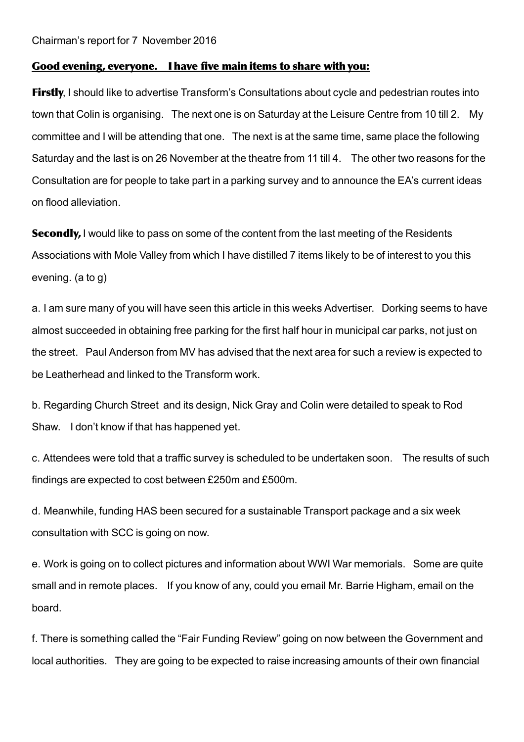## Good evening, everyone. I have five main items to share with you:

**Firstly**, I should like to advertise Transform's Consultations about cycle and pedestrian routes into town that Colin is organising. The next one is on Saturday at the Leisure Centre from 10 till 2. My committee and I will be attending that one. The next is at the same time, same place the following Saturday and the last is on 26 November at the theatre from 11 till 4. The other two reasons for the Consultation are for people to take part in a parking survey and to announce the EA's current ideas on flood alleviation.

Secondly, I would like to pass on some of the content from the last meeting of the Residents Associations with Mole Valley from which I have distilled 7 items likely to be of interest to you this evening. (a to g)

a. I am sure many of you will have seen this article in this weeks Advertiser. Dorking seems to have almost succeeded in obtaining free parking for the first half hour in municipal car parks, not just on the street. Paul Anderson from MV has advised that the next area for such a review is expected to be Leatherhead and linked to the Transform work.

b. Regarding Church Street and its design, Nick Gray and Colin were detailed to speak to Rod Shaw. I don't know if that has happened yet.

c. Attendees were told that a traffic survey is scheduled to be undertaken soon. The results of such findings are expected to cost between £250m and £500m.

d. Meanwhile, funding HAS been secured for a sustainable Transport package and a six week consultation with SCC is going on now.

e. Work is going on to collect pictures and information about WWI War memorials. Some are quite small and in remote places. If you know of any, could you email Mr. Barrie Higham, email on the board.

f. There is something called the "Fair Funding Review" going on now between the Government and local authorities. They are going to be expected to raise increasing amounts of their own financial